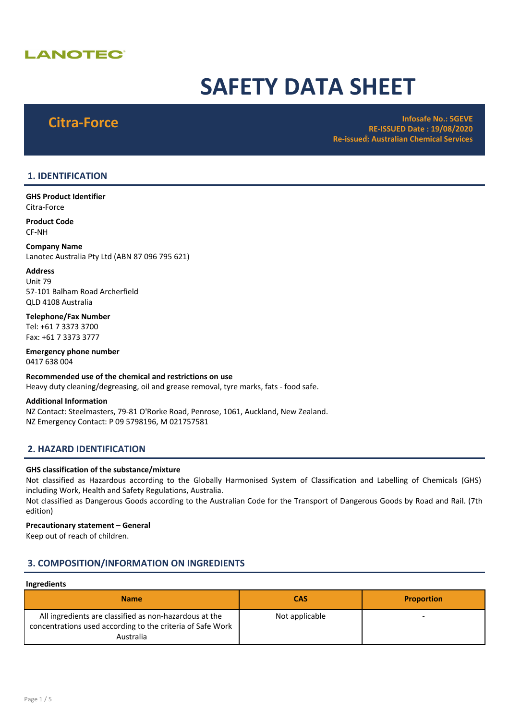# **LANOTEC®**

# SAFETY DATA SHEET

Citra-Force **Infosafe No.: 5GEVE** RE-ISSUED Date : 19/08/2020 Re-issued: Australian Chemical Services

# 1. IDENTIFICATION

GHS Product Identifier Citra-Force

Product Code CF-NH

Company Name Lanotec Australia Pty Ltd (ABN 87 096 795 621)

# Address

Unit 79 57-101 Balham Road Archerfield QLD 4108 Australia

Telephone/Fax Number Tel: +61 7 3373 3700 Fax: +61 7 3373 3777

Emergency phone number 0417 638 004

Recommended use of the chemical and restrictions on use Heavy duty cleaning/degreasing, oil and grease removal, tyre marks, fats - food safe. Additional Information

NZ Contact: Steelmasters, 79-81 O'Rorke Road, Penrose, 1061, Auckland, New Zealand. NZ Emergency Contact: P 09 5798196, M 021757581

# 2. HAZARD IDENTIFICATION

# GHS classification of the substance/mixture

Not classified as Hazardous according to the Globally Harmonised System of Classification and Labelling of Chemicals (GHS) including Work, Health and Safety Regulations, Australia.

Not classified as Dangerous Goods according to the Australian Code for the Transport of Dangerous Goods by Road and Rail. (7th edition)

# Precautionary statement – General

Keep out of reach of children.

# 3. COMPOSITION/INFORMATION ON INGREDIENTS

# Ingredients

| Name                                                                                                                              | <b>CAS</b>     | <b>Proportion</b> |
|-----------------------------------------------------------------------------------------------------------------------------------|----------------|-------------------|
| All ingredients are classified as non-hazardous at the<br>concentrations used according to the criteria of Safe Work<br>Australia | Not applicable |                   |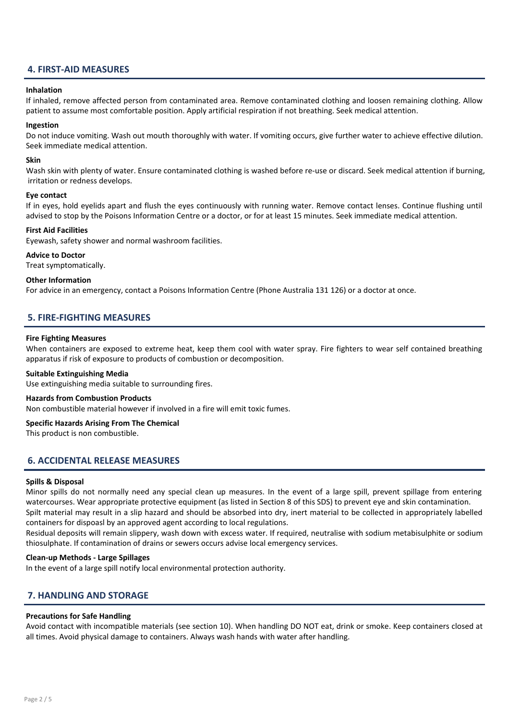# 4. FIRST-AID MEASURES

# Inhalation

If inhaled, remove affected person from contaminated area. Remove contaminated clothing and loosen remaining clothing. Allow patient to assume most comfortable position. Apply artificial respiration if not breathing. Seek medical attention.

# Ingestion

Do not induce vomiting. Wash out mouth thoroughly with water. If vomiting occurs, give further water to achieve effective dilution. Seek immediate medical attention.

### Skin

Wash skin with plenty of water. Ensure contaminated clothing is washed before re-use or discard. Seek medical attention if burning, irritation or redness develops.

### Eye contact

If in eyes, hold eyelids apart and flush the eyes continuously with running water. Remove contact lenses. Continue flushing until advised to stop by the Poisons Information Centre or a doctor, or for at least 15 minutes. Seek immediate medical attention.

# First Aid Facilities

Eyewash, safety shower and normal washroom facilities.

# Advice to Doctor

Treat symptomatically.

# Other Information

For advice in an emergency, contact a Poisons Information Centre (Phone Australia 131 126) or a doctor at once.

# 5. FIRE-FIGHTING MEASURES

# Fire Fighting Measures

When containers are exposed to extreme heat, keep them cool with water spray. Fire fighters to wear self contained breathing apparatus if risk of exposure to products of combustion or decomposition.

### Suitable Extinguishing Media

Use extinguishing media suitable to surrounding fires.

### Hazards from Combustion Products

Non combustible material however if involved in a fire will emit toxic fumes.

### Specific Hazards Arising From The Chemical

This product is non combustible.

# 6. ACCIDENTAL RELEASE MEASURES

### Spills & Disposal

Minor spills do not normally need any special clean up measures. In the event of a large spill, prevent spillage from entering watercourses. Wear appropriate protective equipment (as listed in Section 8 of this SDS) to prevent eye and skin contamination. Spilt material may result in a slip hazard and should be absorbed into dry, inert material to be collected in appropriately labelled containers for dispoasl by an approved agent according to local regulations.

Residual deposits will remain slippery, wash down with excess water. If required, neutralise with sodium metabisulphite or sodium thiosulphate. If contamination of drains or sewers occurs advise local emergency services.

## Clean-up Methods - Large Spillages

In the event of a large spill notify local environmental protection authority.

# 7. HANDLING AND STORAGE

# Precautions for Safe Handling

Avoid contact with incompatible materials (see section 10). When handling DO NOT eat, drink or smoke. Keep containers closed at all times. Avoid physical damage to containers. Always wash hands with water after handling.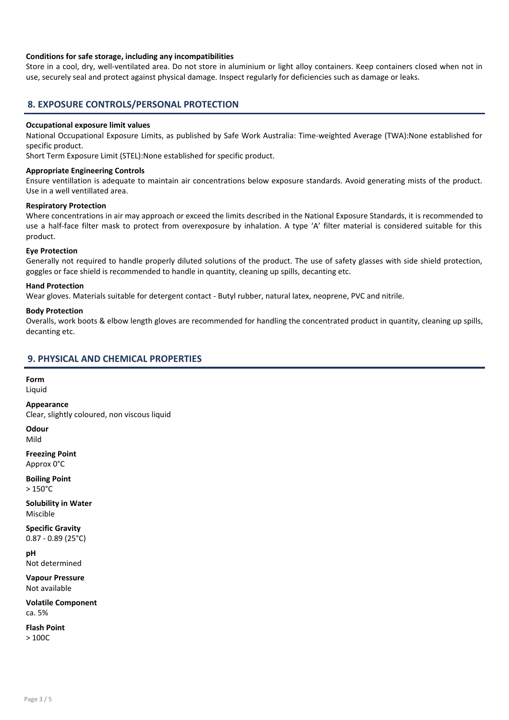# Conditions for safe storage, including any incompatibilities

Store in a cool, dry, well-ventilated area. Do not store in aluminium or light alloy containers. Keep containers closed when not in use, securely seal and protect against physical damage. Inspect regularly for deficiencies such as damage or leaks.

# 8. EXPOSURE CONTROLS/PERSONAL PROTECTION

# Occupational exposure limit values

National Occupational Exposure Limits, as published by Safe Work Australia: Time-weighted Average (TWA):None established for specific product.

Short Term Exposure Limit (STEL):None established for specific product.

# Appropriate Engineering Controls

Ensure ventillation is adequate to maintain air concentrations below exposure standards. Avoid generating mists of the product. Use in a well ventillated area.

# Respiratory Protection

Where concentrations in air may approach or exceed the limits described in the National Exposure Standards, it is recommended to use a half-face filter mask to protect from overexposure by inhalation. A type 'A' filter material is considered suitable for this product.

# Eye Protection

Generally not required to handle properly diluted solutions of the product. The use of safety glasses with side shield protection, goggles or face shield is recommended to handle in quantity, cleaning up spills, decanting etc.

# Hand Protection

Wear gloves. Materials suitable for detergent contact - Butyl rubber, natural latex, neoprene, PVC and nitrile.

### Body Protection

Overalls, work boots & elbow length gloves are recommended for handling the concentrated product in quantity, cleaning up spills, decanting etc.

# 9. PHYSICAL AND CHEMICAL PROPERTIES

Form Liquid

Appearance Clear, slightly coloured, non viscous liquid

**Odour** Mild

Freezing Point Approx 0°C

Boiling Point > 150°C

Solubility in Water Miscible

Specific Gravity 0.87 - 0.89 (25°C)

pH Not determined

Vapour Pressure Not available

Volatile Component ca. 5%

Flash Point > 100C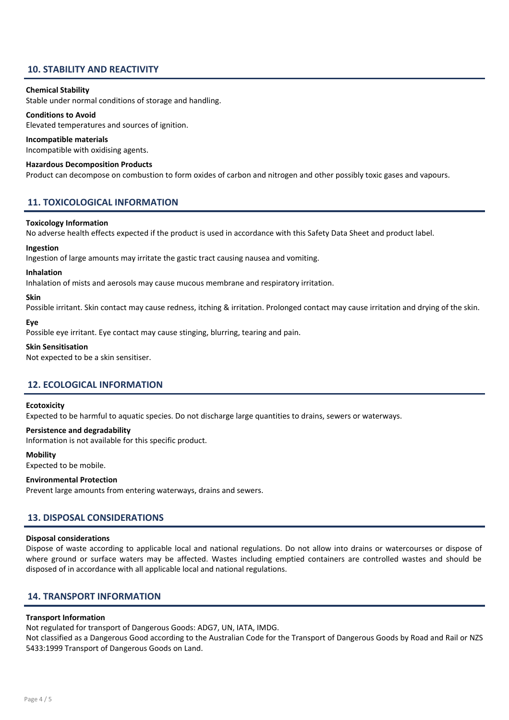# 10. STABILITY AND REACTIVITY

# Chemical Stability

Stable under normal conditions of storage and handling.

# Conditions to Avoid

Elevated temperatures and sources of ignition.

# Incompatible materials

Incompatible with oxidising agents.

### Hazardous Decomposition Products

Product can decompose on combustion to form oxides of carbon and nitrogen and other possibly toxic gases and vapours.

# 11. TOXICOLOGICAL INFORMATION

#### Toxicology Information

No adverse health effects expected if the product is used in accordance with this Safety Data Sheet and product label.

#### Ingestion

Ingestion of large amounts may irritate the gastic tract causing nausea and vomiting.

#### Inhalation

Inhalation of mists and aerosols may cause mucous membrane and respiratory irritation.

#### Skin

Possible irritant. Skin contact may cause redness, itching & irritation. Prolonged contact may cause irritation and drying of the skin.

#### Eye

Possible eye irritant. Eye contact may cause stinging, blurring, tearing and pain.

#### Skin Sensitisation

Not expected to be a skin sensitiser.

# 12. ECOLOGICAL INFORMATION

# **Ecotoxicity**

Expected to be harmful to aquatic species. Do not discharge large quantities to drains, sewers or waterways.

### Persistence and degradability

Information is not available for this specific product.

#### **Mobility**

Expected to be mobile.

# Environmental Protection

Prevent large amounts from entering waterways, drains and sewers.

# 13. DISPOSAL CONSIDERATIONS

### Disposal considerations

Dispose of waste according to applicable local and national regulations. Do not allow into drains or watercourses or dispose of where ground or surface waters may be affected. Wastes including emptied containers are controlled wastes and should be disposed of in accordance with all applicable local and national regulations.

# 14. TRANSPORT INFORMATION

### Transport Information

Not regulated for transport of Dangerous Goods: ADG7, UN, IATA, IMDG.

Not classified as a Dangerous Good according to the Australian Code for the Transport of Dangerous Goods by Road and Rail or NZS 5433:1999 Transport of Dangerous Goods on Land.